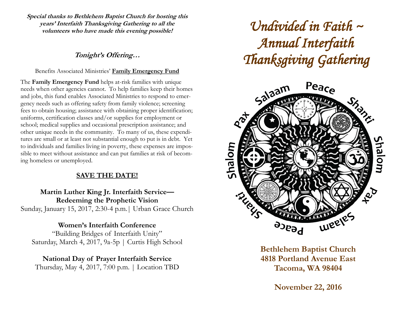**Special thanks to Bethlehem Baptist Church for hosting this years' Interfaith Thanksgiving Gathering to all the volunteers who have made this evening possible!**

# **Tonight's Offering…**

## Benefits Associated Ministries' **Family Emergency Fund**

The **Family Emergency Fund** helps at-risk families with unique needs when other agencies cannot. To help families keep their homes and jobs, this fund enables Associated Ministries to respond to emergency needs such as offering safety from family violence; screening fees to obtain housing; assistance with obtaining proper identification; uniforms, certification classes and/or supplies for employment or school; medical supplies and occasional prescription assistance; and other unique needs in the community. To many of us, these expenditures are small or at least not substantial enough to put is in debt. Yet to individuals and families living in poverty, these expenses are impossible to meet without assistance and can put families at risk of becoming homeless or unemployed.

# **SAVE THE DATE!**

**Martin Luther King Jr. Interfaith Service— Redeeming the Prophetic Vision** Sunday, January 15, 2017, 2:30-4 p.m.| Urban Grace Church

# **Women's Interfaith Conference**

"Building Bridges of Interfaith Unity" Saturday, March 4, 2017, 9a-5p | Curtis High School

**National Day of Prayer Interfaith Service** Thursday, May 4, 2017, 7:00 p.m. | Location TBD

# *Undivided in Faith ~ Annual Interfaith Thanksgiving Gathering*



**Bethlehem Baptist Church 4818 Portland Avenue East Tacoma, WA 98404**

**November 22, 2016**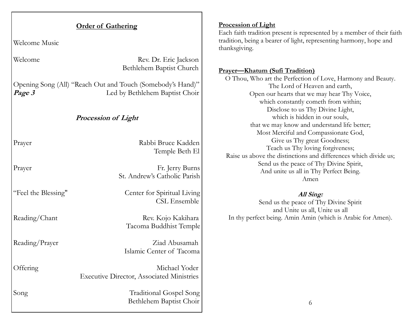| <b>Order of Gathering</b>  |                                                                                              | <b>Procession of Light</b><br>Each faith tradition present is represented by a member of their faith                                                                                                                         |  |
|----------------------------|----------------------------------------------------------------------------------------------|------------------------------------------------------------------------------------------------------------------------------------------------------------------------------------------------------------------------------|--|
| Welcome Music              |                                                                                              | tradition, being a bearer of light, representing harmony, hope and<br>thanksgiving.                                                                                                                                          |  |
| Welcome                    | Rev. Dr. Eric Jackson<br>Bethlehem Baptist Church                                            | <b>Prayer-Khatum (Sufi Tradition)</b><br>O Thou, Who art the Perfection of Love, Harmony and Beauty.<br>The Lord of Heaven and earth,<br>Open our hearts that we may hear Thy Voice,<br>which constantly cometh from within; |  |
| Page 3                     | Opening Song (All) "Reach Out and Touch (Somebody's Hand)"<br>Led by Bethlehem Baptist Choir |                                                                                                                                                                                                                              |  |
| <b>Procession of Light</b> |                                                                                              | Disclose to us Thy Divine Light,<br>which is hidden in our souls,<br>that we may know and understand life better;<br>Most Merciful and Compassionate God,                                                                    |  |
| Prayer                     | Rabbi Bruce Kadden<br>Temple Beth El                                                         | Give us Thy great Goodness;<br>Teach us Thy loving forgiveness;<br>Raise us above the distinctions and differences which divide us;                                                                                          |  |
| Prayer                     | Fr. Jerry Burns<br>St. Andrew's Catholic Parish                                              | Send us the peace of Thy Divine Spirit,<br>And unite us all in Thy Perfect Being.<br>Amen                                                                                                                                    |  |
| "Feel the Blessing"        | Center for Spiritual Living<br><b>CSL Ensemble</b>                                           | All Sing:<br>Send us the peace of Thy Divine Spirit<br>and Unite us all, Unite us all                                                                                                                                        |  |
| Reading/Chant              | Rev. Kojo Kakihara<br>Tacoma Buddhist Temple                                                 | In thy perfect being. Amin Amin (which is Arabic for Amen).                                                                                                                                                                  |  |
| Reading/Prayer             | Ziad Abusamah<br>Islamic Center of Tacoma                                                    |                                                                                                                                                                                                                              |  |
| Offering                   | Michael Yoder<br><b>Executive Director, Associated Ministries</b>                            |                                                                                                                                                                                                                              |  |
| Song                       | <b>Traditional Gospel Song</b><br>Bethlehem Baptist Choir                                    | 6                                                                                                                                                                                                                            |  |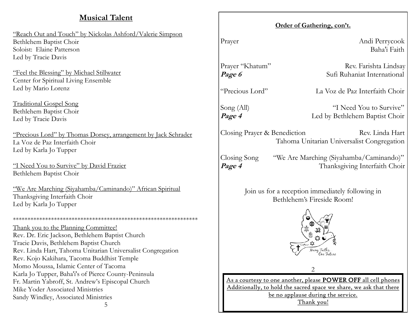# **Musical Talent**

"Reach Out and Touch" by Nickolas Ashford/Valerie Simpson Bethlehem Baptist Choir Soloist: Elaine Patterson Led by Tracie Davis

"Feel the Blessing" by Michael Stillwater Center for Spiritual Living Ensemble Led by Mario Lorenz

Traditional Gospel Song Bethlehem Baptist Choir Led by Tracie Davis

"Precious Lord" by Thomas Dorsey, arrangement by Jack Schrader La Voz de Paz Interfaith Choir Led by Karla Jo Tupper

"I Need You to Survive" by David Frazier Bethlehem Baptist Choir

"We Are Marching (Siyahamba/Caminando)" African Spiritual Thanksgiving Interfaith Choir Led by Karla Jo Tupper

\*\*\*\*\*\*\*\*\*\*\*\*\*\*\*\*\*\*\*\*\*\*\*\*\*\*\*\*\*\*\*\*\*\*\*\*\*\*\*\*\*\*\*\*\*\*\*\*\*\*\*\*\*\*\*\*\*\*\*\*\*\*\* Thank you to the Planning Committee! Rev. Dr. Eric Jackson, Bethlehem Baptist Church Tracie Davis, Bethlehem Baptist Church Rev. Linda Hart, Tahoma Unitarian Universalist Congregation Rev. Kojo Kakihara, Tacoma Buddhist Temple Momo Moussa, Islamic Center of Tacoma Karla Jo Tupper, Baha'i's of Pierce County-Peninsula Fr. Martin Yabroff, St. Andrew's Episcopal Church Mike Yoder Associated Ministries Sandy Windley, Associated Ministries

5

### **Order of Gathering, con't.**

Prayer Andi Perrycook Baha'i Faith

Prayer "Khatum" Rev. Farishta Lindsay **Page 6** Sufi Ruhaniat International

"Precious Lord" La Voz de Paz Interfaith Choir

Song (All) "I Need You to Survive" **Page 4** Led by Bethlehem Baptist Choir

Closing Prayer & Benediction Rev. Linda Hart Tahoma Unitarian Universalist Congregation

Closing Song "We Are Marching (Siyahamba/Caminando)" **Page 4** Thanksgiving Interfaith Choir

> Join us for a reception immediately following in Bethlehem's Fireside Room!



 $\mathcal{D}_{\mathcal{L}}$ 

As a courtesy to one another, please POWER OFF all cell phones Additionally, to hold the sacred space we share, we ask that there be no applause during the service. Thank you!